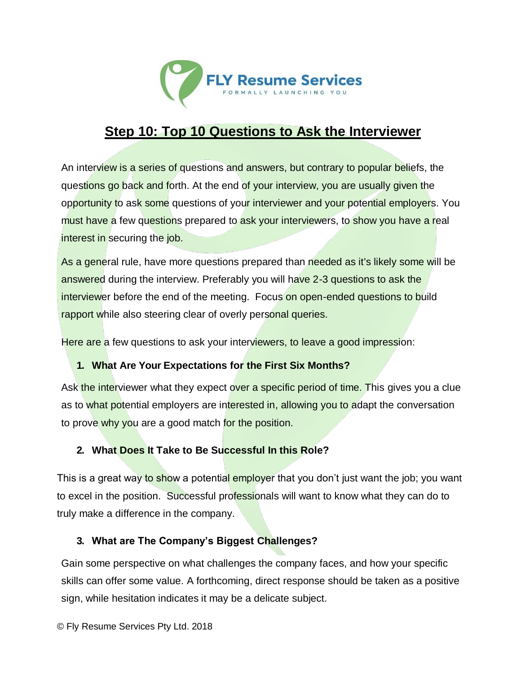

# **Step 10: Top 10 Questions to Ask the Interviewer**

An interview is a series of questions and answers, but contrary to popular beliefs, the questions go back and forth. At the end of your interview, you are usually given the opportunity to ask some questions of your interviewer and your potential employers. You must have a few questions prepared to ask your interviewers, to show you have a real interest in securing the job.

As a general rule, have more questions prepared than needed as it's likely some will be answered during the interview. Preferably you will have 2-3 questions to ask the interviewer before the end of the meeting. Focus on open-ended questions to build rapport while also steering clear of overly personal queries.

Here are a few questions to ask your interviewers, to leave a good impression:

#### **1. What Are Your Expectations for the First Six Months?**

Ask the interviewer what they expect over a specific period of time. This gives you a clue as to what potential employers are interested in, allowing you to adapt the conversation to prove why you are a good match for the position.

#### **2. What Does It Take to Be Successful In this Role?**

This is a great way to show a potential employer that you don't just want the job; you want to excel in the position. Successful professionals will want to know what they can do to truly make a difference in the company.

#### **3. What are The Company's Biggest Challenges?**

Gain some perspective on what challenges the company faces, and how your specific skills can offer some value. A forthcoming, direct response should be taken as a positive sign, while hesitation indicates it may be a delicate subject.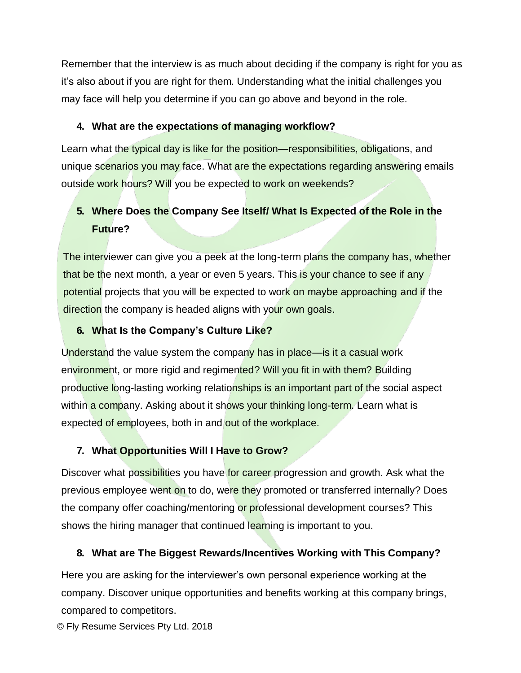Remember that the interview is as much about deciding if the company is right for you as it's also about if you are right for them. Understanding what the initial challenges you may face will help you determine if you can go above and beyond in the role.

### **4. What are the expectations of managing workflow?**

Learn what the typical day is like for the position—responsibilities, obligations, and unique scenarios you may face. What are the expectations regarding answering emails outside work hours? Will you be expected to work on weekends?

# **5. Where Does the Company See Itself/ What Is Expected of the Role in the Future?**

The interviewer can give you a peek at the long-term plans the company has, whether that be the next month, a year or even 5 years. This is your chance to see if any potential projects that you will be expected to work on maybe approaching and if the direction the company is headed aligns with your own goals.

### **6. What Is the Company's Culture Like?**

Understand the value system the company has in place—is it a casual work environment, or more rigid and regimented? Will you fit in with them? Building productive long-lasting working relationships is an important part of the social aspect within a company. Asking about it shows your thinking long-term. Learn what is expected of employees, both in and out of the workplace.

## **7. What Opportunities Will I Have to Grow?**

Discover what possibilities you have for career progression and growth. Ask what the previous employee went on to do, were they promoted or transferred internally? Does the company offer coaching/mentoring or professional development courses? This shows the hiring manager that continued learning is important to you.

# **8. What are The Biggest Rewards/Incentives Working with This Company?**

Here you are asking for the interviewer's own personal experience working at the company. Discover unique opportunities and benefits working at this company brings, compared to competitors.

© Fly Resume Services Pty Ltd. 2018